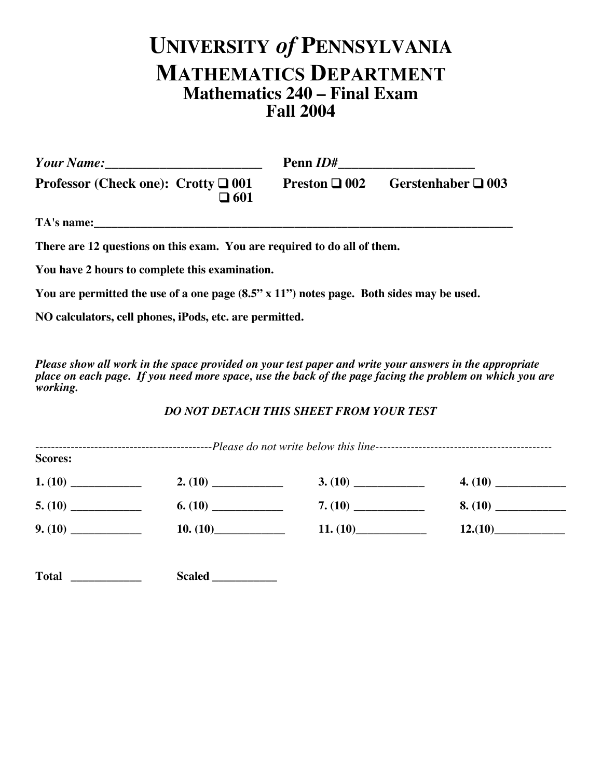## **UNIVERSITY** *of* **PENNSYLVANIA MATHEMATICS DEPARTMENT Mathematics 240 – Final Exam Fall 2004**

| Your Name: 1988                                                                                 | Penn <i>ID</i> #          |                         |  |  |  |  |
|-------------------------------------------------------------------------------------------------|---------------------------|-------------------------|--|--|--|--|
| <b>Professor (Check one): Crotty <math>\Box</math> 001</b><br>$\square$ 601                     | <b>Preston</b> $\Box$ 002 | Gerstenhaber $\Box$ 003 |  |  |  |  |
| TA's name:                                                                                      |                           |                         |  |  |  |  |
| There are 12 questions on this exam. You are required to do all of them.                        |                           |                         |  |  |  |  |
| You have 2 hours to complete this examination.                                                  |                           |                         |  |  |  |  |
| You are permitted the use of a one page $(8.5" \times 11")$ notes page. Both sides may be used. |                           |                         |  |  |  |  |

**NO calculators, cell phones, iPods, etc. are permitted.**

*Please show all work in the space provided on your test paper and write your answers in the appropriate place on each page. If you need more space, use the back of the page facing the problem on which you are working.*

## *DO NOT DETACH THIS SHEET FROM YOUR TEST*

| <b>Scores:</b> |          |         |
|----------------|----------|---------|
|                |          |         |
|                |          |         |
|                | 11. (10) | 12.(10) |
|                |          |         |

**Total \_\_\_\_\_\_\_\_\_\_\_\_ Scaled \_\_\_\_\_\_\_\_\_\_\_**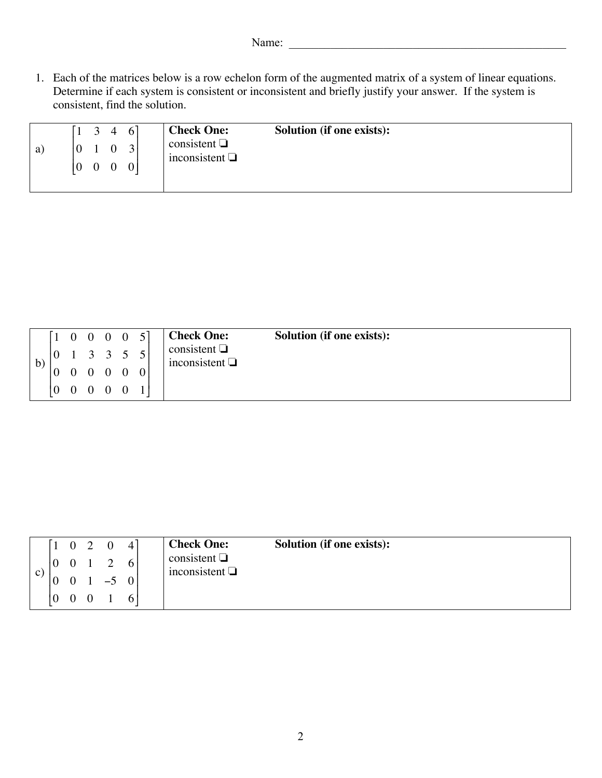1. Each of the matrices below is a row echelon form of the augmented matrix of a system of linear equations. Determine if each system is consistent or inconsistent and briefly justify your answer. If the system is consistent, find the solution.

| a) | $\begin{bmatrix} 1 & 3 & 4 & 6 \end{bmatrix}$<br>10<br>$\begin{pmatrix} 0 & 0 \end{pmatrix}$ | $0 \quad 3$<br>$\begin{bmatrix} 0 & 0 \end{bmatrix}$ | <b>Check One:</b><br>consistent $\Box$<br>inconsistent $\Box$ | <b>Solution (if one exists):</b> |
|----|----------------------------------------------------------------------------------------------|------------------------------------------------------|---------------------------------------------------------------|----------------------------------|
|    |                                                                                              |                                                      |                                                               |                                  |

|    |                 |  | $\begin{bmatrix} 1 & 0 & 0 & 0 & 0 & 5 \end{bmatrix}$ |  | <b>Check One:</b>                        | <b>Solution (if one exists):</b> |
|----|-----------------|--|-------------------------------------------------------|--|------------------------------------------|----------------------------------|
| b) |                 |  | $\begin{vmatrix} 0 & 1 & 3 & 3 & 5 & 5 \end{vmatrix}$ |  | consistent $\Box$<br>inconsistent $\Box$ |                                  |
|    | $\vert 0 \vert$ |  | $0\quad 0\quad 0\quad 0$                              |  |                                          |                                  |
|    |                 |  | $\begin{pmatrix} 0 & 0 & 0 & 0 & 0 \end{pmatrix}$     |  |                                          |                                  |

|    | $\left[1 \quad 0 \right]$                 | $\bigcap$ | $\Omega$ | 4               | <b>Check One:</b>                        | <b>Solution (if one exists):</b> |
|----|-------------------------------------------|-----------|----------|-----------------|------------------------------------------|----------------------------------|
| C) | $\begin{bmatrix} 0 & 0 & 1 \end{bmatrix}$ |           |          | $6\vert$        | consistent $\Box$<br>inconsistent $\Box$ |                                  |
|    | $\bf{0}$                                  |           | $-5$     | $\vert 0 \vert$ |                                          |                                  |
|    | $\begin{pmatrix} 0 & 0 & 0 \end{pmatrix}$ |           |          |                 |                                          |                                  |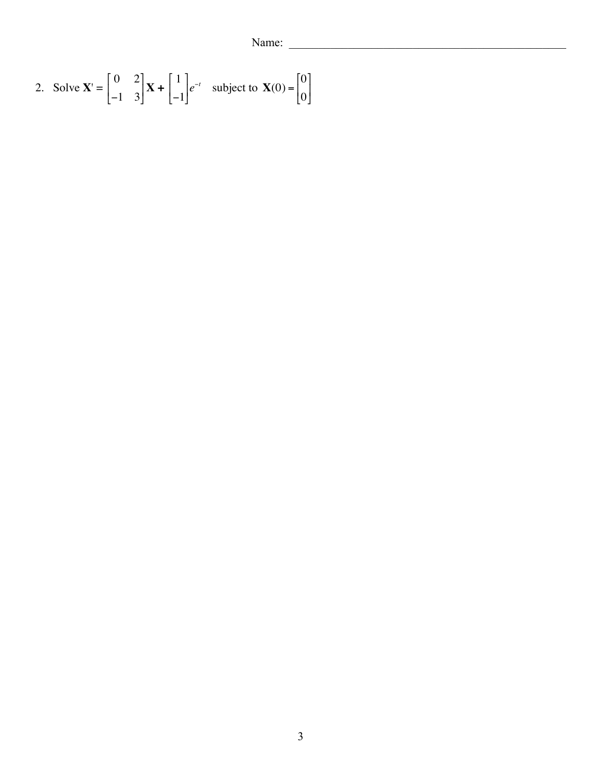Name:

2. Solve 
$$
\mathbf{X}' = \begin{bmatrix} 0 & 2 \\ -1 & 3 \end{bmatrix} \mathbf{X} + \begin{bmatrix} 1 \\ -1 \end{bmatrix} e^{-t}
$$
 subject to  $\mathbf{X}(0) = \begin{bmatrix} 0 \\ 0 \end{bmatrix}$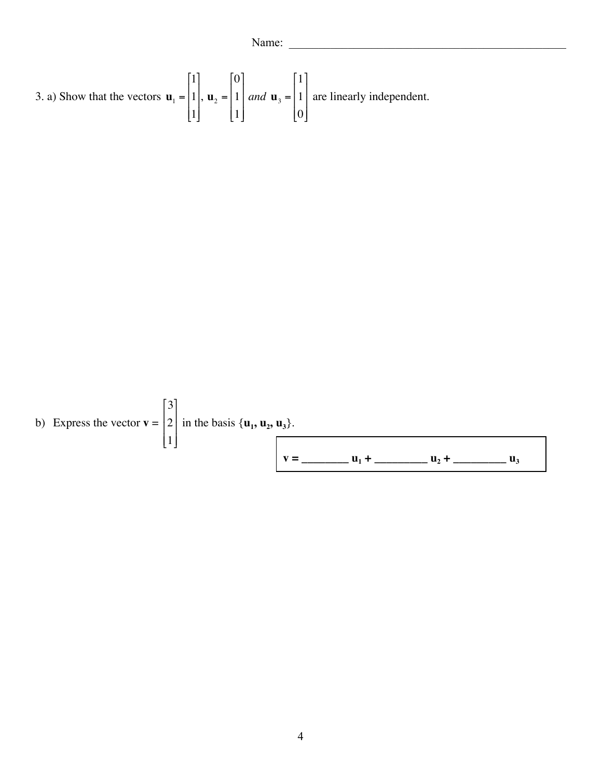3. a) Show that the vectors 
$$
\mathbf{u}_1 = \begin{bmatrix} 1 \\ 1 \\ 1 \end{bmatrix}
$$
,  $\mathbf{u}_2 = \begin{bmatrix} 0 \\ 1 \\ 1 \end{bmatrix}$  and  $\mathbf{u}_3 = \begin{bmatrix} 1 \\ 1 \\ 0 \end{bmatrix}$  are linearly independent.

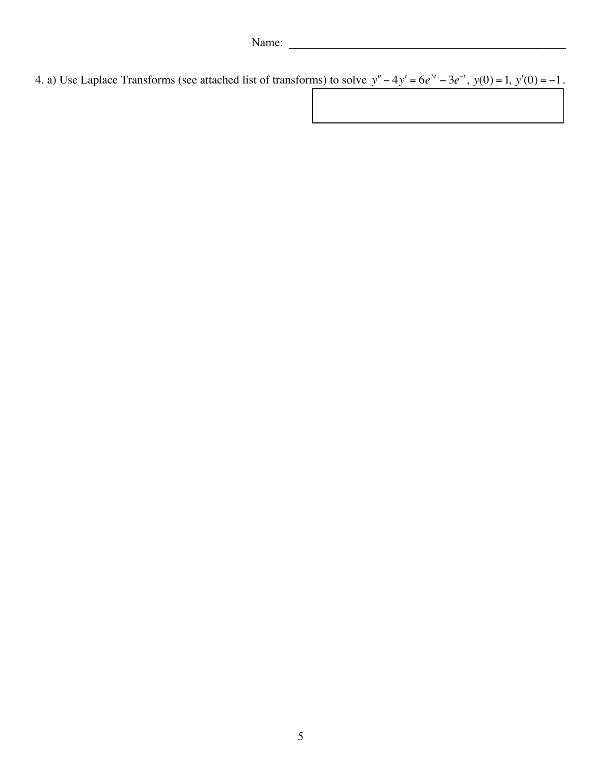4. a) Use Laplace Transforms (see attached list of transforms) to solve  $y'' - 4y' = 6e^{3t} - 3e^{-t}$ ,  $y(0) = 1$ ,  $y'(0) = -1$ .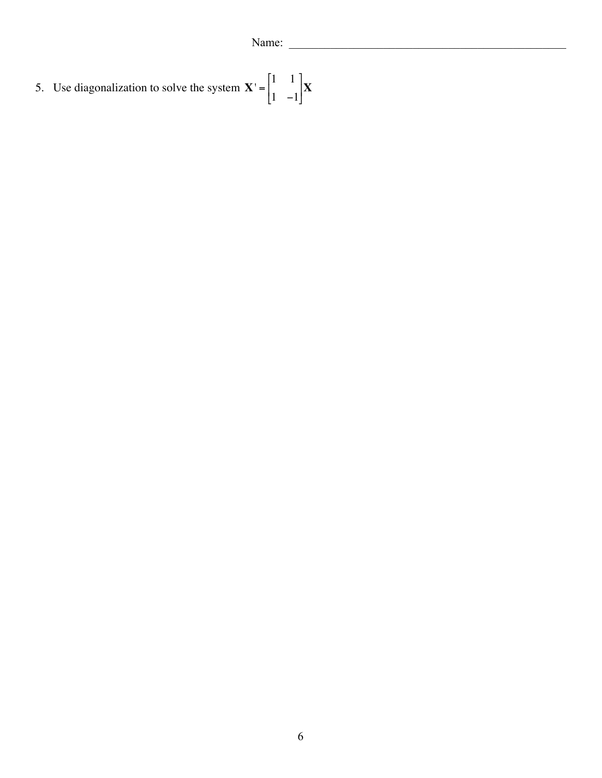5. Use diagonalization to solve the system  $X' = \begin{bmatrix} 1 & 1 \\ 1 & 1 \end{bmatrix}$  $1 -1$ ſ L  $\begin{bmatrix} 1 & 1 \\ 1 & 1 \end{bmatrix}$ J **X**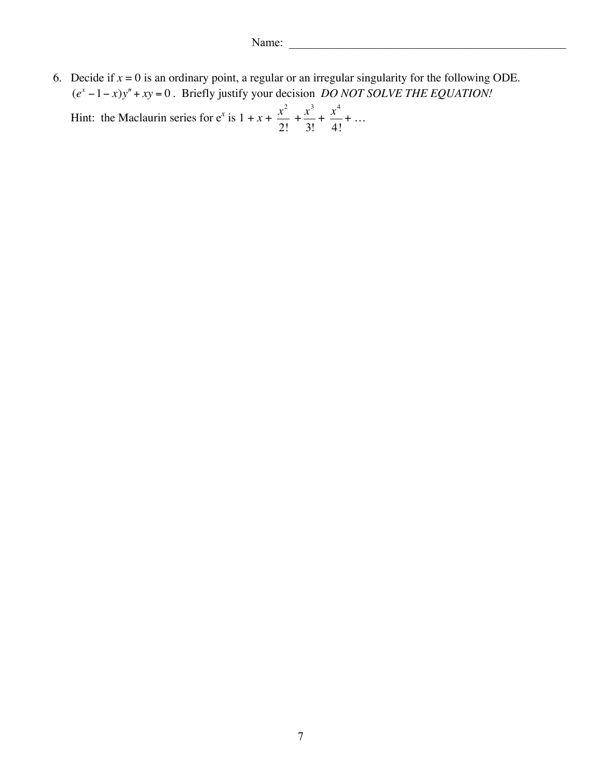6. Decide if  $x = 0$  is an ordinary point, a regular or an irregular singularity for the following ODE. (*e<sup>x</sup>* −1− *x*)*y*′′+ *xy* = 0 . Briefly justify your decision *DO NOT SOLVE THE EQUATION!*

Hint: the Maclaurin series for  $e^x$  is  $1 + x + \frac{x^2}{2}$ 2!  $+\frac{x^3}{2}$ 3!  $+\frac{x^4}{4}$ 4! + …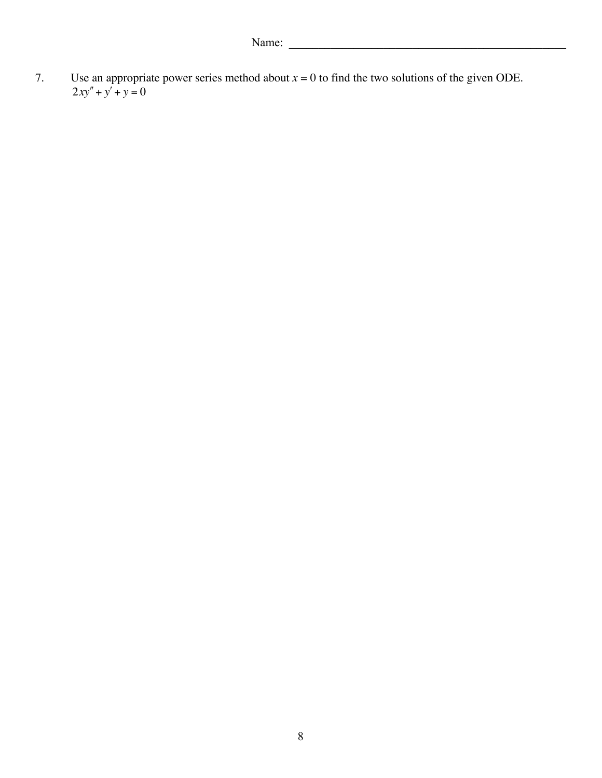7. Use an appropriate power series method about  $x = 0$  to find the two solutions of the given ODE.  $2xy'' + y' + y = 0$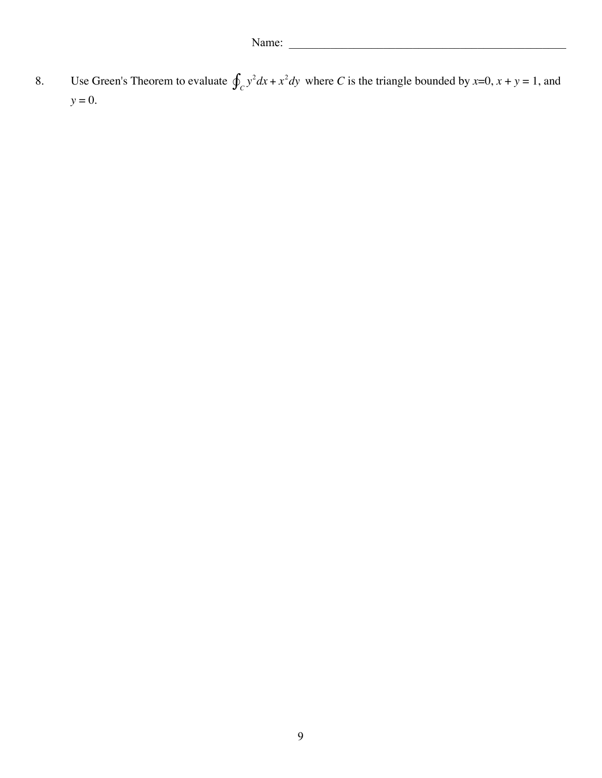8. Use Green's Theorem to evaluate  $\oint_C y^2 dx + x^2 dy$  where *C* is the triangle bounded by *x*=0, *x* + *y* = 1, and *y* = 0.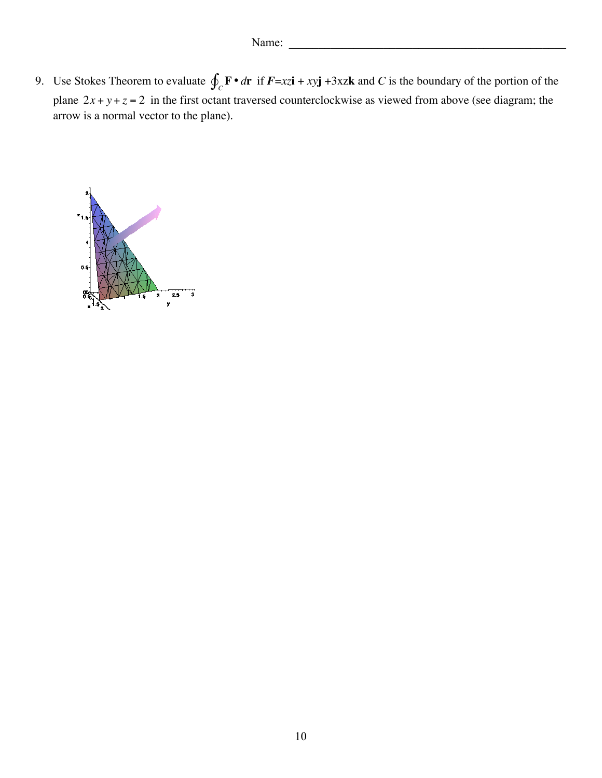9. Use Stokes Theorem to evaluate  $\oint_C \mathbf{F} \cdot d\mathbf{r}$  if  $\mathbf{F} = xz\mathbf{i} + xy\mathbf{j} + 3xz\mathbf{k}$  and C is the boundary of the portion of the plane  $2x + y + z = 2$  in the first octant traversed counterclockwise as viewed from above (see diagram; the arrow is a normal vector to the plane).

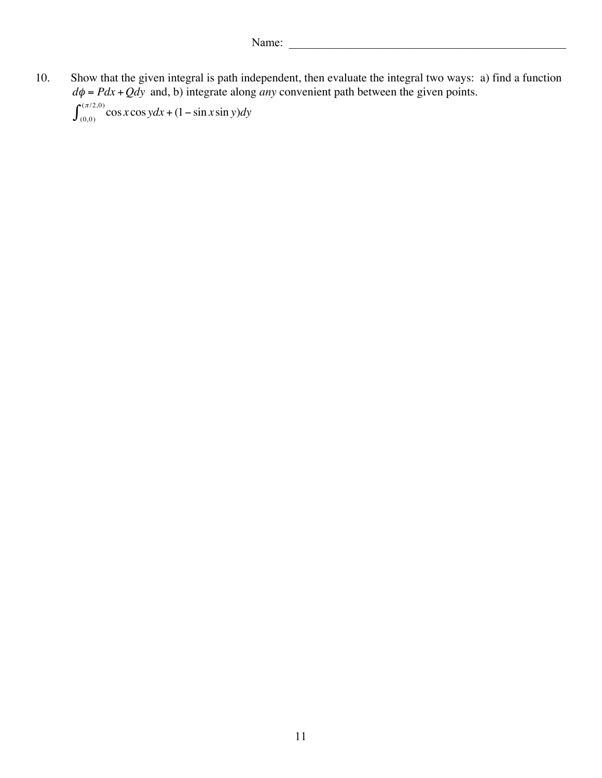10. Show that the given integral is path independent, then evaluate the integral two ways: a) find a function  $d\phi = Pdx + Qdy$  and, b) integrate along *any* convenient path between the given points.  $\int_{(0,0)}^{(\pi/2,0)} \cos x \cos y dx + (1 - \sin x \sin y) dy$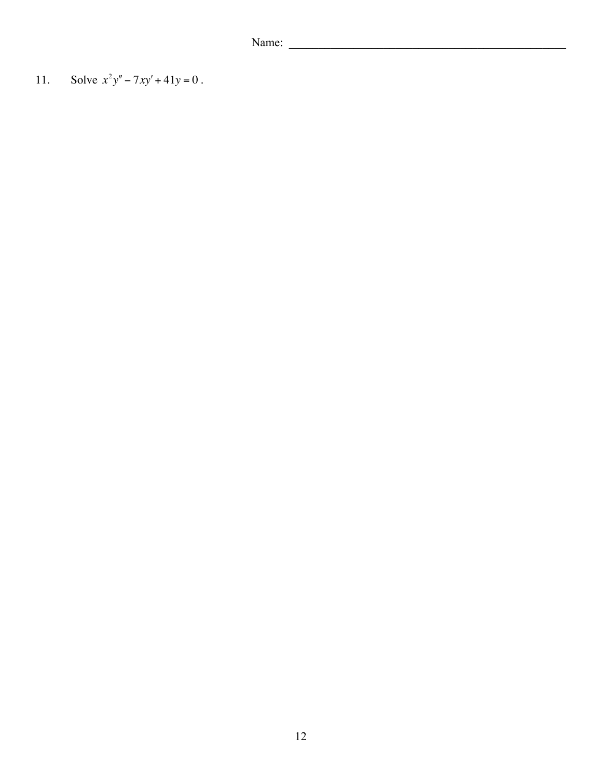Name:

Solve  $x^2y'' - 7xy' + 41y = 0$ .  $11.$